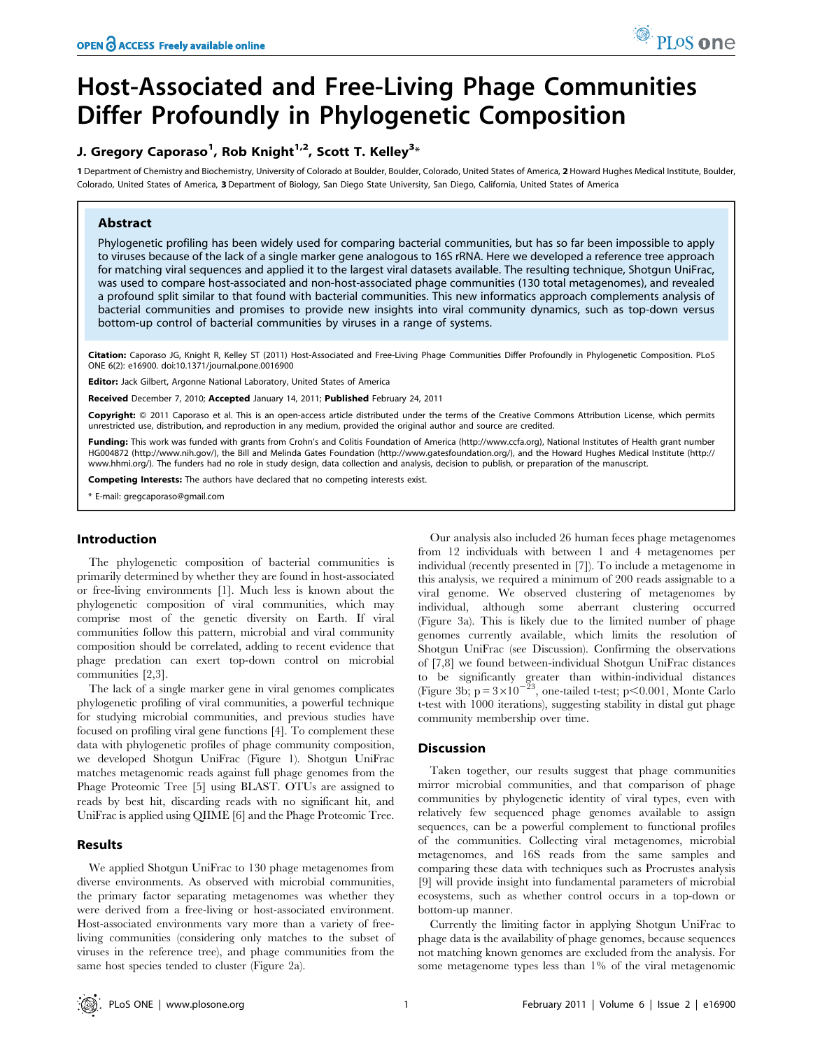# Host-Associated and Free-Living Phage Communities Differ Profoundly in Phylogenetic Composition

# J. Gregory Caporaso $^1$ , Rob Knight $^{1,2}$ , Scott T. Kelley $^{3\ast}$

1 Department of Chemistry and Biochemistry, University of Colorado at Boulder, Boulder, Colorado, United States of America, 2 Howard Hughes Medical Institute, Boulder, Colorado, United States of America, 3Department of Biology, San Diego State University, San Diego, California, United States of America

# Abstract

Phylogenetic profiling has been widely used for comparing bacterial communities, but has so far been impossible to apply to viruses because of the lack of a single marker gene analogous to 16S rRNA. Here we developed a reference tree approach for matching viral sequences and applied it to the largest viral datasets available. The resulting technique, Shotgun UniFrac, was used to compare host-associated and non-host-associated phage communities (130 total metagenomes), and revealed a profound split similar to that found with bacterial communities. This new informatics approach complements analysis of bacterial communities and promises to provide new insights into viral community dynamics, such as top-down versus bottom-up control of bacterial communities by viruses in a range of systems.

Citation: Caporaso JG, Knight R, Kelley ST (2011) Host-Associated and Free-Living Phage Communities Differ Profoundly in Phylogenetic Composition. PLoS ONE 6(2): e16900. doi:10.1371/journal.pone.0016900

Editor: Jack Gilbert, Argonne National Laboratory, United States of America

Received December 7, 2010; Accepted January 14, 2011; Published February 24, 2011

**Copyright:** © 2011 Caporaso et al. This is an open-access article distributed under the terms of the Creative Commons Attribution License, which permits unrestricted use, distribution, and reproduction in any medium, provided the original author and source are credited.

Funding: This work was funded with grants from Crohn's and Colitis Foundation of America (http://www.ccfa.org), National Institutes of Health grant number HG004872 (http://www.nih.gov/), the Bill and Melinda Gates Foundation (http://www.gatesfoundation.org/), and the Howard Hughes Medical Institute (http:// www.hhmi.org/). The funders had no role in study design, data collection and analysis, decision to publish, or preparation of the manuscript.

Competing Interests: The authors have declared that no competing interests exist.

\* E-mail: gregcaporaso@gmail.com

# Introduction

The phylogenetic composition of bacterial communities is primarily determined by whether they are found in host-associated or free-living environments [1]. Much less is known about the phylogenetic composition of viral communities, which may comprise most of the genetic diversity on Earth. If viral communities follow this pattern, microbial and viral community composition should be correlated, adding to recent evidence that phage predation can exert top-down control on microbial communities [2,3].

The lack of a single marker gene in viral genomes complicates phylogenetic profiling of viral communities, a powerful technique for studying microbial communities, and previous studies have focused on profiling viral gene functions [4]. To complement these data with phylogenetic profiles of phage community composition, we developed Shotgun UniFrac (Figure 1). Shotgun UniFrac matches metagenomic reads against full phage genomes from the Phage Proteomic Tree [5] using BLAST. OTUs are assigned to reads by best hit, discarding reads with no significant hit, and UniFrac is applied using QIIME [6] and the Phage Proteomic Tree.

# Results

We applied Shotgun UniFrac to 130 phage metagenomes from diverse environments. As observed with microbial communities, the primary factor separating metagenomes was whether they were derived from a free-living or host-associated environment. Host-associated environments vary more than a variety of freeliving communities (considering only matches to the subset of viruses in the reference tree), and phage communities from the same host species tended to cluster (Figure 2a).

Our analysis also included 26 human feces phage metagenomes from 12 individuals with between 1 and 4 metagenomes per individual (recently presented in [7]). To include a metagenome in this analysis, we required a minimum of 200 reads assignable to a viral genome. We observed clustering of metagenomes by individual, although some aberrant clustering occurred (Figure 3a). This is likely due to the limited number of phage genomes currently available, which limits the resolution of Shotgun UniFrac (see Discussion). Confirming the observations of [7,8] we found between-individual Shotgun UniFrac distances to be significantly greater than within-individual distances (Figure 3b;  $p = 3 \times 10^{-23}$ , one-tailed t-test;  $p < 0.001$ , Monte Carlo t-test with 1000 iterations), suggesting stability in distal gut phage community membership over time.

# **Discussion**

Taken together, our results suggest that phage communities mirror microbial communities, and that comparison of phage communities by phylogenetic identity of viral types, even with relatively few sequenced phage genomes available to assign sequences, can be a powerful complement to functional profiles of the communities. Collecting viral metagenomes, microbial metagenomes, and 16S reads from the same samples and comparing these data with techniques such as Procrustes analysis [9] will provide insight into fundamental parameters of microbial ecosystems, such as whether control occurs in a top-down or bottom-up manner.

Currently the limiting factor in applying Shotgun UniFrac to phage data is the availability of phage genomes, because sequences not matching known genomes are excluded from the analysis. For some metagenome types less than 1% of the viral metagenomic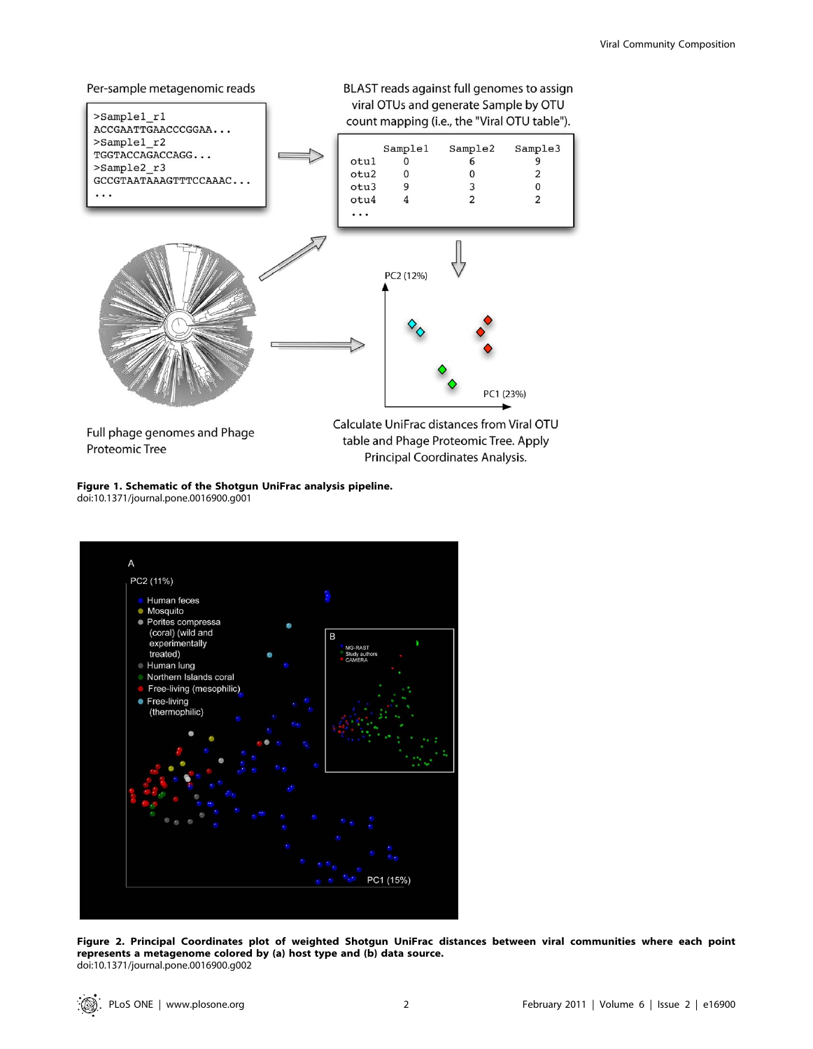

Full phage genomes and Phage **Proteomic Tree** 

table and Phage Proteomic Tree. Apply Principal Coordinates Analysis.

Figure 1. Schematic of the Shotgun UniFrac analysis pipeline. doi:10.1371/journal.pone.0016900.g001



Figure 2. Principal Coordinates plot of weighted Shotgun UniFrac distances between viral communities where each point represents a metagenome colored by (a) host type and (b) data source. doi:10.1371/journal.pone.0016900.g002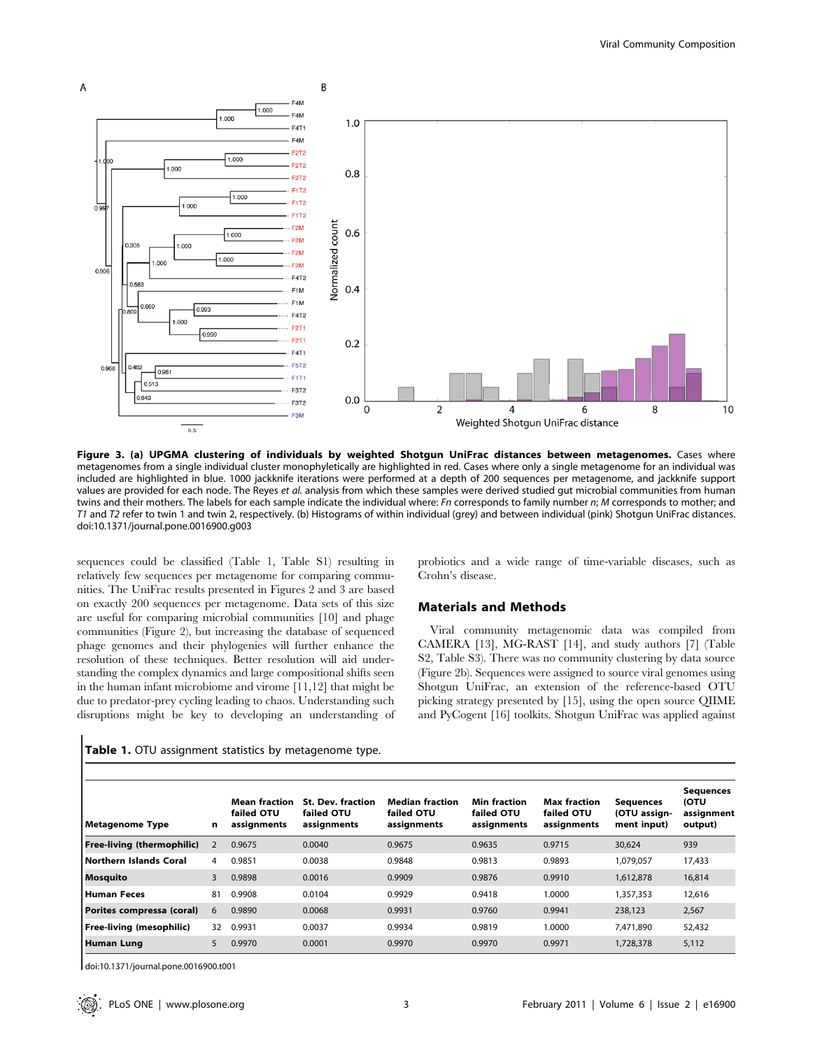

Figure 3. (a) UPGMA clustering of individuals by weighted Shotgun UniFrac distances between metagenomes. Cases where metagenomes from a single individual cluster monophyletically are highlighted in red. Cases where only a single metagenome for an individual was included are highlighted in blue. 1000 jackknife iterations were performed at a depth of 200 sequences per metagenome, and jackknife support values are provided for each node. The Reyes et al. analysis from which these samples were derived studied gut microbial communities from human twins and their mothers. The labels for each sample indicate the individual where: Fn corresponds to family number n; M corresponds to mother; and T1 and T2 refer to twin 1 and twin 2, respectively. (b) Histograms of within individual (grey) and between individual (pink) Shotgun UniFrac distances. doi:10.1371/journal.pone.0016900.g003

sequences could be classified (Table 1, Table S1) resulting in relatively few sequences per metagenome for comparing communities. The UniFrac results presented in Figures 2 and 3 are based on exactly 200 sequences per metagenome. Data sets of this size are useful for comparing microbial communities [10] and phage communities (Figure 2), but increasing the database of sequenced phage genomes and their phylogenies will further enhance the resolution of these techniques. Better resolution will aid understanding the complex dynamics and large compositional shifts seen in the human infant microbiome and virome [11,12] that might be due to predator-prey cycling leading to chaos. Understanding such disruptions might be key to developing an understanding of

Table 1. OTU assignment statistics by metagenome type.

probiotics and a wide range of time-variable diseases, such as Crohn's disease.

#### Materials and Methods

Viral community metagenomic data was compiled from CAMERA [13], MG-RAST [14], and study authors [7] (Table S2, Table S3). There was no community clustering by data source (Figure 2b). Sequences were assigned to source viral genomes using Shotgun UniFrac, an extension of the reference-based OTU picking strategy presented by [15], using the open source QIIME and PyCogent [16] toolkits. Shotgun UniFrac was applied against

| Metagenome Type            | n  | <b>Mean fraction</b><br>failed OTU<br>assignments | <b>St. Dev. fraction</b><br>failed OTU<br>assignments | <b>Median fraction</b><br>failed OTU<br>assignments | <b>Min fraction</b><br>failed OTU<br>assignments | <b>Max fraction</b><br>failed OTU<br>assignments | <b>Sequences</b><br>(OTU assign-<br>ment input) | <b>Sequences</b><br><b>(OTU</b><br>assignment<br>output) |
|----------------------------|----|---------------------------------------------------|-------------------------------------------------------|-----------------------------------------------------|--------------------------------------------------|--------------------------------------------------|-------------------------------------------------|----------------------------------------------------------|
| Free-living (thermophilic) | 2  | 0.9675                                            | 0.0040                                                | 0.9675                                              | 0.9635                                           | 0.9715                                           | 30.624                                          | 939                                                      |
| l Northern Islands Coral   | 4  | 0.9851                                            | 0.0038                                                | 0.9848                                              | 0.9813                                           | 0.9893                                           | 1.079.057                                       | 17,433                                                   |
| <b>Mosquito</b>            | 3  | 0.9898                                            | 0.0016                                                | 0.9909                                              | 0.9876                                           | 0.9910                                           | 1.612.878                                       | 16,814                                                   |
| Human Feces                | 81 | 0.9908                                            | 0.0104                                                | 0.9929                                              | 0.9418                                           | 1.0000                                           | 1,357,353                                       | 12,616                                                   |
| Porites compressa (coral)  | 6  | 0.9890                                            | 0.0068                                                | 0.9931                                              | 0.9760                                           | 0.9941                                           | 238,123                                         | 2,567                                                    |
| Free-living (mesophilic)   | 32 | 0.9931                                            | 0.0037                                                | 0.9934                                              | 0.9819                                           | 1.0000                                           | 7.471.890                                       | 52,432                                                   |
| <b>Human Lung</b>          | 5  | 0.9970                                            | 0.0001                                                | 0.9970                                              | 0.9970                                           | 0.9971                                           | 1,728,378                                       | 5,112                                                    |

doi:10.1371/journal.pone.0016900.t001